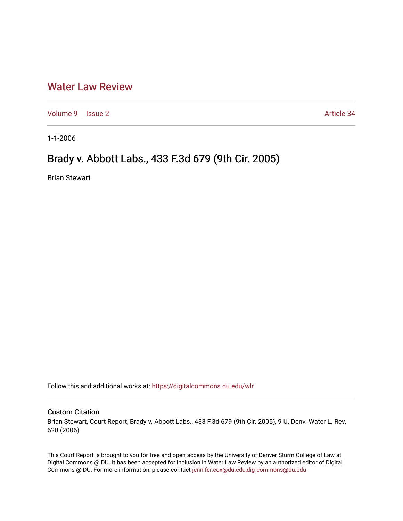## [Water Law Review](https://digitalcommons.du.edu/wlr)

[Volume 9](https://digitalcommons.du.edu/wlr/vol9) | [Issue 2](https://digitalcommons.du.edu/wlr/vol9/iss2) Article 34

1-1-2006

## Brady v. Abbott Labs., 433 F.3d 679 (9th Cir. 2005)

Brian Stewart

Follow this and additional works at: [https://digitalcommons.du.edu/wlr](https://digitalcommons.du.edu/wlr?utm_source=digitalcommons.du.edu%2Fwlr%2Fvol9%2Fiss2%2F34&utm_medium=PDF&utm_campaign=PDFCoverPages) 

## Custom Citation

Brian Stewart, Court Report, Brady v. Abbott Labs., 433 F.3d 679 (9th Cir. 2005), 9 U. Denv. Water L. Rev. 628 (2006).

This Court Report is brought to you for free and open access by the University of Denver Sturm College of Law at Digital Commons @ DU. It has been accepted for inclusion in Water Law Review by an authorized editor of Digital Commons @ DU. For more information, please contact [jennifer.cox@du.edu,dig-commons@du.edu.](mailto:jennifer.cox@du.edu,dig-commons@du.edu)